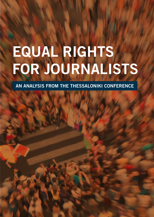# **EQUAL RIGHTS FOR JOURNALISTS**

**AN ANALYSIS FROM THE THESSALONIKI CONFERENCE**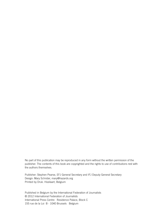No part of this publication may be reproduced in any form without the written permission of the publisher. The contents of this book are copyrighted and the rights to use of contributions rest with the authors themselves.

Publisher: Stephen Pearse, EFJ General Secretary and IFJ Deputy General Secretary Design: Mary Schrider, mary@hazards.org Printed by Druk. Hoeilaart, Belgium

Published in Belgium by the International Federation of Journalists © 2012 International Federation of Journalists International Press Centre Residence Palace, Block C 155 rue de la Loi B - 1040 Brussels Belgium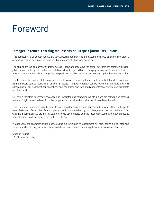### Foreword

#### **Stronger Together: Learning the lessons of Europe's journalists' unions**

This publication is all about sharing. It is about pooling our expertise and experience as we battle the twin storms of economic crisis and structural change that are currently battering our industry.

The challenges facing journalists' unions across Europe are not always the same, but there are common threads: job losses and attempts to undermine established working conditions; changing employment practices that are making harder for journalists to organise, to speak with a collective voice and to stand up for their working rights.

The European Federation of Journalists has a role to play in meeting these challenges, but that does not mean all the answers can be found in an office in Brussels. The EFJ's strength can be found in its affiliates and their campaigns for fair treatment, for decent pay and conditions and for a media industry that truly values journalists and their work.

Our role is therefore to spread knowledge and understanding of how journalists' unions are standing up for their members' rights – and to learn from their experiences: what worked, what could have been better?

That sharing of knowledge was the objective of a two-day conference in Thessaloniki in April 2012. Participants heard first-hand of examples of campaigns and actions undertaken by our colleagues across the continent. Now, with this publication, we are pulling together those case studies and the ideas discussed at the conference to bring them to a wider audience within the EFJ family.

We hope that the examples and the conclusions put forward in this document will help inspire our affiliates and spark new ideas for ways in which they can take action to defend labour rights for all journalists in Europe.

Stephen Pearse *EFJ General Secretary*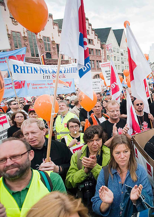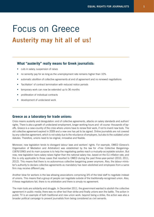### Focus on Greece **Austerity may hit all of us!**

#### **What "austerity" really means for Greek journalists:**

- cuts in salary, suspension of raises
- no seniority pay for as long as the unemployment rate remains higher than 10%
- automatic abolition of collective agreements at end of agreement and no renewed negotiations
- 'facilitation' of contract termination with reduced notice periods
- temporary work can now be extended up to 36 months
- proliferation of individual contracts
- development of undeclared work

#### **Greece as a laboratory for trade unions:**

Crisis means austerity and deregulation: end of collective agreements, attacks on salary standards and authors' rights. There is also a growth of undeclared employment, longer working hours and -of course- thousands of layoffs. Greece is a case-country of the crisis where unions have to renew their work, if not to invent new tools. The old collective agreement expired in 2009 and a new one has yet to be signed. Online journalists are not covered by any collective agreement, which is not solely due to the reluctance of employers, but also to the outdated union statutes. Therefore, unions need to be original, innovative and flexible.

Moreover, new legislation tends to disregard labour laws and workers' rights. For example, OMED (Greece's Organisation of Mediation and Arbitration) was established by the law for «Free Collective Bargaining» (1876/1990) and its main purpose is to help the negotiating parties reach a mutually-acceptable solution. But now, new legislation bans salary raises higher than the national salary rise, based on the EU inflation rate, and this is only applicable to those cases that resorted to OMED during the past three-year-period (2010, 2011, 2012). This means that there is no autonomous collective bargaining power anymore. Also, the labour minister's authority to declare collective agreements as mandatory has been abolished and employees from a same firm may receive different pay.

Another blow for workers is the law allowing associations comprising 3/5 of the total staff to negotiate instead of unions. This means that a group of people can negotiate outside of the traditionally-recognised union. Also, if these negotiations fail, there is no arbitration and there is simply no agreement.

The main tools are solidarity and struggle. In December 2011, the government wanted to abolish the collective agreement in public media; there was no other tool than strike and finally unions won the battle. The action in public TV is an example of both traditional and new union work: beyond being a strike, the action was also a broader political campaign to prevent journalists from being considered as civil servants.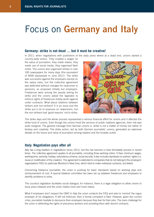# Focus on **Germany and Italy**

#### **Germany: strike is not dead … but it must be creative!**

In 2011, when negotiations with publishers of the daily press where at a dead end, unions started a

country-wide action. They created a slogan on the value of journalism, they made videos, they made use of social media, they organised flash mobs. The unions also organised strikes in over 100 newspapers for many days (the equivalent of 4000 day/people in June 2011). The strike was successful against the employers except on the salary raise, but the collective agreement was defended without changes for newcomer or pensions, as proposed initially but employers. Freelances were among the people asking for strike and the unions asked the legislator to enforce rights of freelances (lobby work) against unfair contracts. What about relations between strikers and non-strikers? It is an issue and the strike put a lot of pressure on newsrooms, but the non-strikers had 'good reasons' not to strike. made use of social model, the rights of precises the results of precise and the rights of precise to precise the rights of precise to the rights of precise to reach the rights of providing the rights of providing the right



The strike days and the whole process represented a serious financial effort for unions and it affected the strike fund of unions. Even though the unions hired the services of public relations agencies, their role was quite marginal. The general message from German unions is: strike is not a matter of money but rather of fantasy and creativity. The strike action, led by both German journalists' unions, generated an extensive debate on the future and value of journalism among readers and the broader public

#### **Italy: Negotiation pays after all**

Italy has a long tradition in negotiations (since 1911), but this has become a more formidable process in recent times. The collective agreement applies to all journalists, including those working online. It fixes minimum wages, working time, seniority, holiday, redundancy scheme, social security. It also includes standards on authors' rights (i.e. reuse or modification of the creation). The agreement is extended to companies that do not belong to the employers' organisations FIEG (in particular Murdoch's New Corp, which tried to make individual contracts, but failed).

Concerning freelance journalists, the union is pushing for basic standards based on working days and reimbursement of cost. A special bilateral committee has been set up between freelances and employers to identify problems to solve.

The country's legislation facilitates social dialogue; for instance, there is a legal obligation to allow unions to issue press releases and the union makes more and more videos.

What if employers don't respect the CBA? In Italy the union contacts the FIEG and asks to 'remind' the rogue employer of his obligations. If still not enforced, then a formal complaint is filed. However, given the current crisis, journalists hesitate to denounce their employers because they fear for their jobs. The main challenge for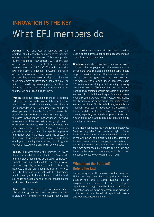## What EFJ members do **Innovation is the key**

**Austria:** it took one year to negotiate with the employer about renewal of contract and the inclusion of newcomers in the profession. This was supported by the freelances. Now almost 100% of the staff are employed, with just a slight salary difference between 'new' and 'old' staff. The union is raising awareness among students. In Austria, journalists and media professionals are leaving the profession because they cannot make a living, and there are three times more students than jobs available. The union is considering warning young people about this risk, but is it the role of union to tell the youth that there is no bright future for them?

**France:** collective bargaining is inked to editorial independence and with political lobbying. If there are no good working conditions, then there is no independence for journalists. This should be developed and it is the role of the EFJ to develop this aspect. Unions in France defend working rights on the same level as editorial independence. They have also created a platform of political lobbying to defend editorial independence, which is part of the general trade union struggle. Fees for "pigistes" (Freelance journalists working under the special regime of the French law) is a delicate issue: the strategy of the union is to negotiate high fees in order to force employers to employ them properly with long-term contracts instead of making freelance contracts.

**Ireland:** journalists refer to their mission. In Ireland there is a parallel with the situation in Greece with the extension of austerity to public servants. However journalists are not protected from austerity simply because they play a certain role in society: they advocate this element among the public. The NUJ uses the legal argument that collective bargaining is a human right. In Ireland there is no strike fund, so industrial actions have a strong impact on the workers and their family.

**Italy:** political lobbying. The journalists' union lobbied the government and employers against a draft law on flexibility of the labour market. This

would be dramatic for journalists because it could be used against journalists for editorial reasons instead of strictly economic reasons.

**Germany:** unions build coalitions. Journalists' unions can seek joint campaigns with other movements like consumers' organisations defending quality media or public services. Around fifty companies stepped out of collective agreements and used work-forhire workers who are paid about 20% less. Some 30 companies are doing social dumping by using outsourced workers. To fight against this, the union is naming and shaming because managers and owners are keen to protect their image. Some employers hired only young workers from an outsourcing agency that belongs to the same group: the union named and shamed them. Finally, collective agreements are important, but fees for freelances are declining in the meanwhile and this needs to be addressed by unions, especially with the development of work-forhire and total buy-out (one single pay-off and nothing more for the journalist).

In the Netherlands, the main challenge is freelances (antitrust legislation) and authors' rights. Some freelance refuse the collective bargaining anyway. In the workplace, it's difficult to make the difference between freelances and employed journalists. In the NL, journalists are not very keen on defending their own rights because it implies going public and be visible by viewers and readers, which is not well perceived by people who work in the media.

#### **What about the EU level? Defend the law!**

Social dialogue is still promoted by the European Union but they know that their policy is deleting precisely the tools for social dialogue (i.e. no obligations on countries to have employer's organisations to negotiate with). Law making means civilisation, and collective agreement is an extension of the law: this is a theoretical aspect that u nions and journalists need to defend.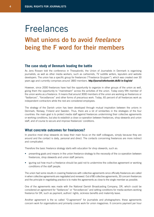### Freelances **What unions do to avoid** *freelance* **being the f word for their members**

#### **The case study of Denmark leading the battle**

As Jens Rossen told the conference in Thessaloniki, the Union of Journalists in Denmark is organising journalists, as well as other media workers, such as cartoonists, TV subtitle writers, layouters and website developers. The union has a specific group for freelances ("Freelance Gruppen"), which was created over 30 years ago and currently comprises around 1800 members. **http://journalistforbundet.dk/DJ-in-English/**

However, since 2000 freelances have had the opportunity to organize in other groups of the union as well, giving them the opportunity to "mainstream" across the activities of the union. Today every fifth member of the union works as a freelance. It means that around 3000 members of the union are working as freelances or "fastlances", "forcedlances" and other forms of precarious work. Today, 65 percent of all freelances work as independent contractors while the rest are considered employees.

The strategy of the Danish union has been developed through mutual inspiration between the unions in Denmark, Norway, Finland and Sweden. Thus, there are a lot of similarities in the strategies of the four countries: the main goal is to protect media staff against freelances undermining their collective agreements or working conditions, but also to establish a close co-operation between freelances, shop stewards and union staff, and of course to secure and improve freelances' conditions.

#### **What concrete outcomes for freelances?**

In practice most shop stewards do keep their main focus on the staff colleagues, simply because they are around and the contact is daily, personal and direct. The contacts concerning freelances are more indirect and complicated.

Therefore the basic freelance strategy starts with education for shop stewards, such as:

- presenting goals and means in the union freelance strategy to the necessity of the co-operation between freelances, shop stewards and union staff persons.
- iguring out how much a freelance should be paid not to undermine the collective agreement or working conditions of the staff people.

The union had some results in covering freelances with collective agreements since officially freelances are called in when collective agreements are negotiated and renewed. Out of 80 collective agreements, 30 concern freelances and the principle in negotiating practice is to make the agreements as close to the single member as possible.

One of the agreements was made with the National Danish Broadcasting Company, DR, which could be considered an agreement for "fastlances" or "forcedlances" and setting conditions for media workers working freelance for DR, such as payment, authors' rights, sickness benefits and maternity leave.

Another agreement is the so called "O-agreement" for journalists and photographers: these agreements concern work for organisations and primarily covers work for union magazines. It concerns payment per hour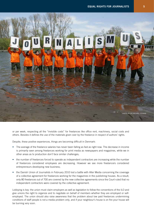

or per week, respecting all the "invisible costs" for freelances like office rent, machinery, social costs and others. Besides it defines the use of the materials given over by the freelance in respect of authors' rights.

Despite, these positive experiences, things are becoming difficult in Denmark:

- The average of the freelance salaries has never been falling as fast as right now. The decrease in income is primarily seen among freelances working for print media as newspapers and magazines, while we in other areas as tv production don't face similar challenges;
- the number of freelances forced to operate as independent contractors are increasing while the number of freelances considered employees are decreasing. However we see more freelancers considered entrepreneurs developing new business;
- the Danish Union of Journalists in February 2010 lost a battle with Aller Media concerning the coverage of a collective agreement for freelances working for the magazines in the publishing houses. As a result, only 80 freelances out of 700 are covered by the new collective agreements since the Court ruled that no independent contractors were covered by the collective agreement.

Lobbying is key: the union must claim employers as well as legislation to follow the conventions of the ILO and give unions the right to organize and to negotiate on behalf of members whether they are employed or selfemployed. The union should also raise awareness that the problem about low paid freelances undermining conditions of staff people is not a media problem only, and if your neighbour's house is on fire your house will be burning very soon.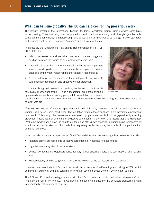#### **What can be done globally? The ILO can help confronting precarious work**

The Deputy Director of the International Labour Standards Department Karen Curtis provided some hints to the meeting. There are many forms of precarious work, such as temporary work through agencies, subcontracting, hidden employment relationships and casual short-term contracts, but a large range of standards and principles set by the ILO concern "workers" and not just employees.

In particular, the Employment Relationship Recommendation No. 198, 2006 states that:

- Labour law seeks to address what can be an unequal bargaining position between the parties to an employment relationship
- National policy on the basis of consultation with the social partners should provide guidance to the parties in the workplace to combat disguised employment relationships and establish responsibility
- Need to address uncertainty around the employment relationship to guarantee fair competition and effective worker protection



*Karen Curtis*

Unions can bring their issues to supervisory bodies and to the tripartite complaints mechanism of the ILO and a meaningful promotion of labour rights needs to directly address any gaps, in full consultation with relevant

social partners. Unions can also promote the industrial/sectoral level bargaining with the extension to all relevant workers

"The evolving nature of work escapes the traditional dichotomy between subordinate and autonomous worker", said Karen Curtis, "and labour law regulation tends to focus on those in a subordinate employment relationship. This is why collective voices accompanied by rights are essential to fill the gaps either by ensuring protection in legislation or by means of collective agreements". Concretely, this means that also Freelances ("self-employed") should have the right to join the union of their own choosing, including being represented by a national centre of workers and that collective bargaining mechanisms may be adapted to the particularities of the self-employed.

In fact the Labour standards departments of the ILO already identified the major organizing issues for journalists:

- Integrate online journalists into collective agreements or negotiate for specificities
- Organize new categories of media workers
- Combat competition laws/jurisprudence identifying freelancers as cartels at both national and regional level
- Propose legally binding bargaining mechanisms relevant to the particularities of the sector

However there also limits to ILO principles: to which unions should self-employment belong to? With which employers should they primarily bargain if they work in several places? Do they have the right to strike?

The EFJ and IFJ need a strategy to work with the ILO, in particular on discrimination between staff and freelance journalists. For the ILO, it's two sides of the same coin since the ILO considers standards of work independently of their working relations.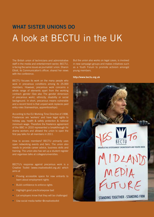# **What Sister Unions Do** A look at BECTU in the UK

The British union of technicians and administrative staff in the media and entertainment sector, BECTU, is facing the same issues as journalists' union. Sharon Elliott, its Communication's officer, shared her views with the conference.

BECTU focuses its work on the many people who work in precarious conditions among its 25.000 members. However, precarious work concerns a whole range of elements apart from the working contract: gender (See also The gender dimension of precarious work), ethnicity, disability or social background. In short, precarious means vulnerable and a recent trend is that unpaid work replaces paid entry roles (traineeships, apprenticeships).

According to the EU Working Time Directive of 1998, Freelances are 'workers' and have legal rights to holiday pay, health & safety protection & national minimum wage. Therefore the freelance agreement of the BBC in 2010 represented a breakthrough for drama workers and allowed the union to open the first pay talks for all members in 2011.

How to access members? BECTU primarily uses open networking events and fairs. The union also needs to provide career advice, business skills and training. The union also has set up a student register and organises talks at colleges/universities.

BECTU's response against precarious work is a Creative Toolkit (www.creativetoolkit.org.uk) which aims at

- Proving accessible space for new entrants to learn about employment rights
- Build confidence to enforce rights
- Highlight good practice/expose bad
- Let employers know that they will be challenged
- Use social media twitter @creativetoolkit

But the union also works on legal cases, is involved in new campaign groups and makes initiatives such as a Youth Forum to promote activism amongst young members.

#### **http://www.bectu.org.uk**

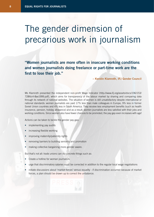# The gender dimension of precarious work in journalism

**"Women journalists are more often in insecure working conditions and women journalists doing freelance or part-time work are the first to lose their job."** 

**– Kerstin Klamroth, IFJ Gender Council**

Ms Klamroth presented the independent non-profit Wage Indicator (http://www.ifj.org/assets/docs/196/153/ 728fdc4-8ae1999.pdf), which aims for transparency of the labour market by sharing and comparing data through its network of national websites. The situation of women is still unsatisfactory despite international or national standards: women journalists are paid 17% less than male colleagues in Europe, 9% less in former Soviet Union countries and 4% less in South America. They receive less employment benefits (such as health insurance, pension, holiday allowance) and as a result, women journalists are less satisfied with their jobs and working conditions. Since women also have fewer chances to be promoted, the pay gap even increases with age!

Actions can be taken to tackle the gender pay gap:

- implementing pay audits
- increasing flexible working
- improving maternity/paternity rights
- removing barriers to building seniority and promotion
- making collective bargaining more gender aware.

But that's not all: trade unions can do concrete things such as:

- Create a hotline for woman journalists
- urge that discriminatory salaries must be corrected in addition to the regular local wage negotiations
- initiate discussions about 'market forces' versus equality if discrimination occurred because of market forces, a plan should be drawn up to correct the unbalance.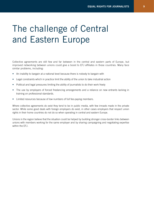# The challenge of Central and Eastern Europe

Collective agreements are still few and far between in the central and eastern parts of Europe, but improved networking between unions could give a boost to EFJ affiliates in these countries. Many face similar problems, including:

- An inability to bargain at a national level because there is nobody to bargain with
- Legal constraints which in practice limit the ability of the union to take industrial action
- Political and legal pressures limiting the ability of journalists to do their work freely
- The use by employers of forced freelancing arrangements and a reliance on new entrants lacking in training on professional standards.
- Limited resources because of low numbers of full fee-paying members.

Where collective agreements do exist they tend to be in public media, with few inroads made in the private sector. While some good deals with foreign employers do exist, in other cases employers that respect union rights in their home countries do not do so when operating in central and eastern Europe.

Unions in the region believe that the situation could be helped by building stronger cross-border links between unions with members working for the same employer and by sharing campaigning and negotiating expertise within the EFJ.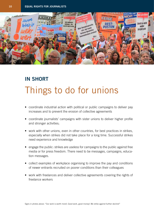

# **IN SHORT** Things to do for unions

- coordinate industrial action with political or public campaigns to deliver pay increases and to prevent the erosion of collective agreements
- coordinate journalists' campaigns with sister unions to deliver higher profile and stronger activities;
- work with other unions, even in other countries, for best practices in strikes, especially when strikes did not take place for a long time. Successful strikes need experience and knowledge
- engage the public: strikes are useless for campaigns to the public against free media or for press freedom. There need to be messages, campaigns, education messages.
- collect examples of workplace organising to improve the pay and conditions of newer entrants recruited on poorer conditions than their colleagues
- work with freelances and deliver collective agreements covering the rights of freelance workers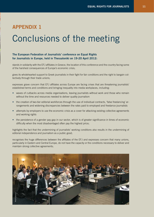### **Appendix 1** Conclusions of the meeting

#### **The European Federation of Journalists' conference on Equal Rights for Journalists in Europe, held in Thessaloniki on 19-20 April 2012:**

stands in solidarity with the EFJ affiliates in Greece, the location of this conference and the country facing some of the harshest consequences of Europe's economic crisis;

gives its wholehearted support to Greek journalists in their fight for fair conditions and the right to bargain collectively through their trade unions;

expresses grave concern that EFJ affiliates across Europe are facing crises that are threatening journalists' established terms and conditions and bringing inequality into media workplaces, including:

- waves of cutbacks across media organisations, leaving journalists without work and those who remain without the time and resources needed to deliver quality journalism
- the creation of two-tier editorial workforces through the use of individual contracts, 'false freelancing' arrangements and widening discrepancies between the rates paid to employed and freelance journalists
- attempts by employers to use the economic crisis as a cover for attacking existing collective agreements and working rights
- the persistence of a gender pay gap in our sector, which is of greater significance in times of economic difficulty when the most disadvantaged often pay the highest price;

highlights the fact that the undermining of journalists' working conditions also results in the undermining of editorial independence and journalism as a public good;

recognises the huge differences between the affiliates of the EFJ and expresses concern that many unions, particularly in Eastern and Central Europe, do not have the capacity or the conditions necessary to deliver and maintain strong collective agreements;

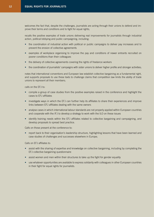welcomes the fact that, despite the challenges, journalists are acting through their unions to defend and improve their terms and conditions and to fight for equal rights;

recalls the positive examples of trade unions delivering real improvements for journalists through industrial action, political lobbying and public campaigning, including:

- the coordination of industrial action with political or public campaigns to deliver pay increases and to prevent the erosion of collective agreements
- examples of workplace organising to improve the pay and conditions of newer entrants recruited on poorer conditions than their colleagues
- the delivery of collective agreements covering the rights of freelance workers
- the coordination of journalists' campaigns with sister unions to deliver higher profile and stronger activities;

notes that international conventions and European law establish collective bargaining as a fundamental right, and supports proposals to use these texts to challenge claims that competition law limits the ability of trade unions to represent all their members;

calls on the EFJ to:

- compile a group of case studies from the positive examples raised in the conference and highlight the cases to EFJ affiliates
- investigate ways in which the EFJ can further help its affiliates to share their experiences and improve links between EFJ affiliates dealing with the same owners
- analyse cases in which international labour standards are not properly applied within European countries and cooperate with the IFJ to develop a strategy to work with the ILO on these issues
- identify training needs within the EFJ affiliates related to collective bargaining and campaigning, and develop proposals to spread best practice.

Calls on those present at the conference to:

• report back to their organisation's leadership structure, highlighting lessons that have been learned and case studies of challenges and successes elsewhere in Europe;

Calls on EFJ affiliates to:

- assist with the sharing of expertise and knowledge on collective bargaining, including by completing the EFJ collective bargaining questionnaire
- assist women and men within their structures to take up the fight for gender equality
- use whatever opportunities are available to express solidarity with colleagues in other European countries in their fight for equal rights for journalists.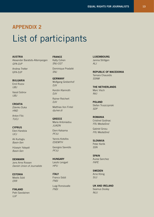### **Appendix 2** List of participants

**Austria** Alexander Baratsits-Altempergen *GPA-DJP*

Andrea Tretter GPA-DJP

**Bulgaria**

Emil Rozov *UBJ*

Vassil Sotirov *UBJ*

**Croatia** Zdenko Duka *HND*

Anton Filic *TUCJ*

**Cyprus** Eleni Karatzia *UCJ*

Ali Kurtoglu *Basin-Sen*

Hüseyin Yalayali *Basin-Sen*

**Denmark** Jens Arne Rossen *Danish Union of Journalists*

**Estonia** Meelis Süld *ERR*

**Finland** Petri Savolainen *UJF*

**France** Katty Cohen

*SNJ-CGT* Dominique Pradalié *SNJ*

**Germany** Wolfgang Grebenhof *DJV*

Kerstin Klamroth *DJV*

Rainer Reichert *DJV* Matthias Von Fintel

*dju/ver.di*

**Greece** Maria Antoniadou *JUADN*

Eleni Katsama *PFJU*

Yannis Kotsifos *ESIEMTH*

Georgios Savvidis *PFJU*

**Hungary** Laszlo Lengyel *HPU*

**Italy** Franco Siddi *FNSI*

Luigi Ronsisvalle *FNSI*

**Luxembourg** Janina Strötgen *ALJ*

**Republic of Macedonia** Tamara Chausidis *SSNM*

**The Netherlands** Marc Visch *NVJ*

**Poland** Stefan Truszczynski *SDP*

**Romania** Cristinel Godinac *FRJ MediaSind*

Gabriel Grosu *FRJ MediaSind*

**Slovakia** Peter Kerlik *SSN*

**Spain** Aurea Sanchez *FAPE*

**Sweden** Arne König *SUJ*

**UK and Ireland** Seamus Dooley *NUJ*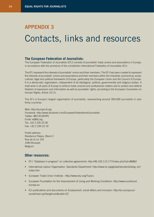### **Appendix 3** Contacts, links and resources

#### **The European Federation of Journalists:**

The European Federation of Journalists (EFJ) consists of journalists' trade unions and associations in Europe, in accordance with the provisions of the constitution International Federation of Journalists (IFJ).

The EFJ represent the interests of journalists' unions and their members. The EFJ has been created to represent the interests of journalists' unions and associations and their members within the industrial, economical, social, cultural, legal and political framework of Europe, particularly the European Union and the Council of Europe. It is a democratic organisation, independent of all ideological, political, governmental and religious bodies. It shall work in all parts of Europe to enforce trade unionist and professional matters and to protect and defend freedom of expression and information as well as journalists' rights, according to the European Convention on Human Rights, Article 10 (1).

The EFJ is Europe's largest organisation of journalists, representing around 300.000 journalists in over thirty countries.

Web: http://europe.ifj.org Facebook: http://www.facebook.com/EuropeanFederationofJournalists Twitter: @EFJEUROPE Email: efj@ifj.org Tel: +32 2 235 22 00 Fax: +32 2 235 22 19

Postal address : Residence Palace, Block C Rue de la Loi 155 1040 Brussels Belgium

#### **Other resources:**

- EFJ "Database in progress" on collective agreements: http://46.103.113.177/index.php?sid=86862
- International Labour Organisation, Standards Department: http://www.ilo.org/global/standards/lang--en/ index.htm
- European Trade Union Institute : http://www.etui.org/Topics
- European Foundation for the Improvement of Living and Working Conditions: http://www.eurofound. europa.eu
- EU publications and documents on Employment, social affairs and inclusion: http://ec.europa.eu/ social/main.jsp?langId=en&catId=22